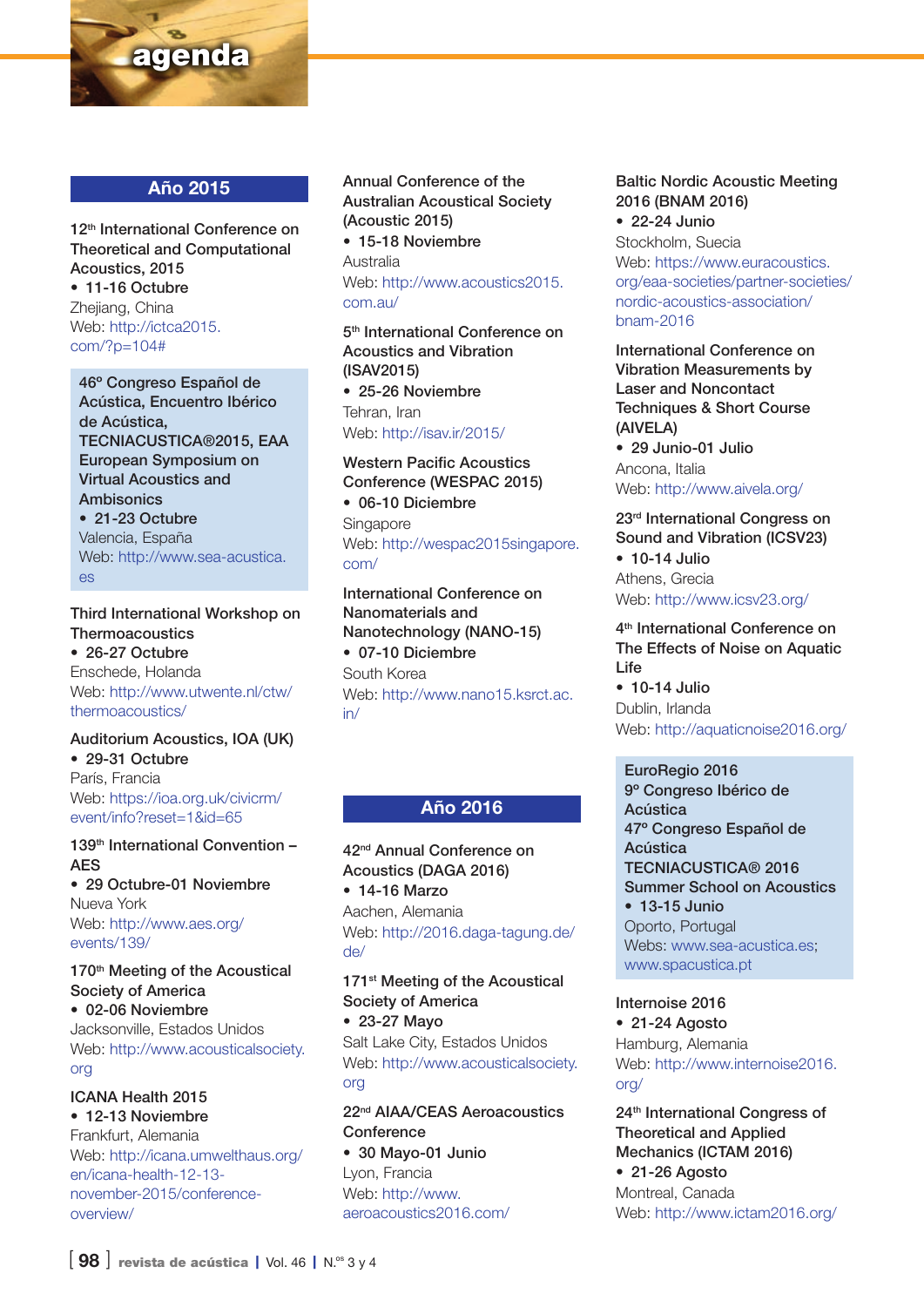

### Año 2015

12<sup>th</sup> International Conference on Theoretical and Computational Acoustics, 2015 • 11-16 Octubre Zhejiang, China Web: [http://ictca2015.](http://ictca2015.com/%3Fp%3D104%23) [com/?p=104#](http://ictca2015.com/%3Fp%3D104%23)

46º Congreso Español de Acústica, Encuentro Ibérico de Acústica, TECNIACUSTICA®2015, EAA European Symposium on Virtual Acoustics and Ambisonics • 21-23 Octubre Valencia, España Web: [http://www.sea-acustica.](http://www.sea-acustica.es) [es](http://www.sea-acustica.es)

Third International Workshop on **Thermoacoustics** • 26-27 Octubre Enschede, Holanda Web: [http://www.utwente.nl/ctw/](http://www.utwente.nl/ctw/thermoacoustics/) [thermoacoustics/](http://www.utwente.nl/ctw/thermoacoustics/)

#### Auditorium Acoustics, IOA (UK) • 29-31 Octubre París, Francia Web: [https://ioa.org.uk/civicrm/](https://ioa.org.uk/civicrm/event/info%3Freset%3D1%26id%3D65) [event/info?reset=1&id=65](https://ioa.org.uk/civicrm/event/info%3Freset%3D1%26id%3D65)

139<sup>th</sup> International Convention -AES • 29 Octubre-01 Noviembre Nueva York

Web: [http://www.aes.org/](http://www.aes.org/events/139/) [events/139/](http://www.aes.org/events/139/)

170<sup>th</sup> Meeting of the Acoustical Society of America • 02-06 Noviembre Jacksonville, Estados Unidos Web: [http://www.acousticalsociety.](http://www.acousticalsociety.org) [org](http://www.acousticalsociety.org)

ICANA Health 2015 • 12-13 Noviembre Frankfurt, Alemania Web: [http://icana.umwelthaus.org/](http://icana.umwelthaus.org/en/icana-health-12-13-november-2015/conference-overview/) [en/icana-health-12-13-](http://icana.umwelthaus.org/en/icana-health-12-13-november-2015/conference-overview/)

[november-2015/conference](http://icana.umwelthaus.org/en/icana-health-12-13-november-2015/conference-overview/)[overview/](http://icana.umwelthaus.org/en/icana-health-12-13-november-2015/conference-overview/)

Annual Conference of the Australian Acoustical Society (Acoustic 2015)

• 15-18 Noviembre Australia

Web: [http://www.acoustics2015.](http://www.acoustics2015.com.au/) [com.au/](http://www.acoustics2015.com.au/)

5<sup>th</sup> International Conference on Acoustics and Vibration (ISAV2015)

• 25-26 Noviembre Tehran, Iran Web:<http://isav.ir/2015/>

Western Pacific Acoustics Conference (WESPAC 2015) • 06-10 Diciembre **Singapore** Web: [http://wespac2015singapore.](http://wespac2015singapore.com/) [com/](http://wespac2015singapore.com/)

International Conference on Nanomaterials and Nanotechnology (NANO-15) • 07-10 Diciembre South Korea Web: [http://www.nano15.ksrct.ac.](http://www.nano15.ksrct.ac.in/) [in/](http://www.nano15.ksrct.ac.in/)

## Año 2016

42nd Annual Conference on Acoustics (DAGA 2016) • 14-16 Marzo Aachen, Alemania Web: [http://2016.daga-tagung.de/](http://2016.daga-tagung.de/de/)

#### [de/](http://2016.daga-tagung.de/de/)

171<sup>st</sup> Meeting of the Acoustical Society of America • 23-27 Mayo

Salt Lake City, Estados Unidos Web: [http://www.acousticalsociety.](http://www.acousticalsociety.org) [org](http://www.acousticalsociety.org)

22nd AIAA/CEAS Aeroacoustics **Conference** 

• 30 Mayo-01 Junio Lyon, Francia Web: [http://www.](http://www.aeroacoustics2016.com/) [aeroacoustics2016.com/](http://www.aeroacoustics2016.com/)

#### Baltic Nordic Acoustic Meeting 2016 (BNAM 2016)

• 22-24 Junio Stockholm, Suecia Web: [https://www.euracoustics.](https://www.euracoustics.org/eaa-societies/partner-societies/nordic-acoustics-association/bnam-2016) [org/eaa-societies/partner-societies/](https://www.euracoustics.org/eaa-societies/partner-societies/nordic-acoustics-association/bnam-2016) [nordic-acoustics-association/](https://www.euracoustics.org/eaa-societies/partner-societies/nordic-acoustics-association/bnam-2016) [bnam-2016](https://www.euracoustics.org/eaa-societies/partner-societies/nordic-acoustics-association/bnam-2016)

International Conference on Vibration Measurements by Laser and Noncontact Techniques & Short Course (AIVELA)

• 29 Junio-01 Julio Ancona, Italia Web:<http://www.aivela.org/>

23rd International Congress on Sound and Vibration (ICSV23) • 10-14 Julio Athens, Grecia

Web:<http://www.icsv23.org/>

4<sup>th</sup> International Conference on The Effects of Noise on Aquatic Life

• 10-14 Julio Dublin, Irlanda Web:<http://aquaticnoise2016.org/>

#### EuroRegio 2016

9º Congreso Ibérico de Acústica 47º Congreso Español de Acústica TECNIACUSTICA® 2016 Summer School on Acoustics • 13-15 Junio

Oporto, Portugal Webs: www.sea-acustica.es: [www.spacustica.pt](http://www.spacustica.pt)

Internoise 2016

• 21-24 Agosto Hamburg, Alemania Web: [http://www.internoise2016.](http://www.internoise2016.org/) [org/](http://www.internoise2016.org/)

24th International Congress of Theoretical and Applied Mechanics (ICTAM 2016) • 21-26 Agosto Montreal, Canada Web:<http://www.ictam2016.org/>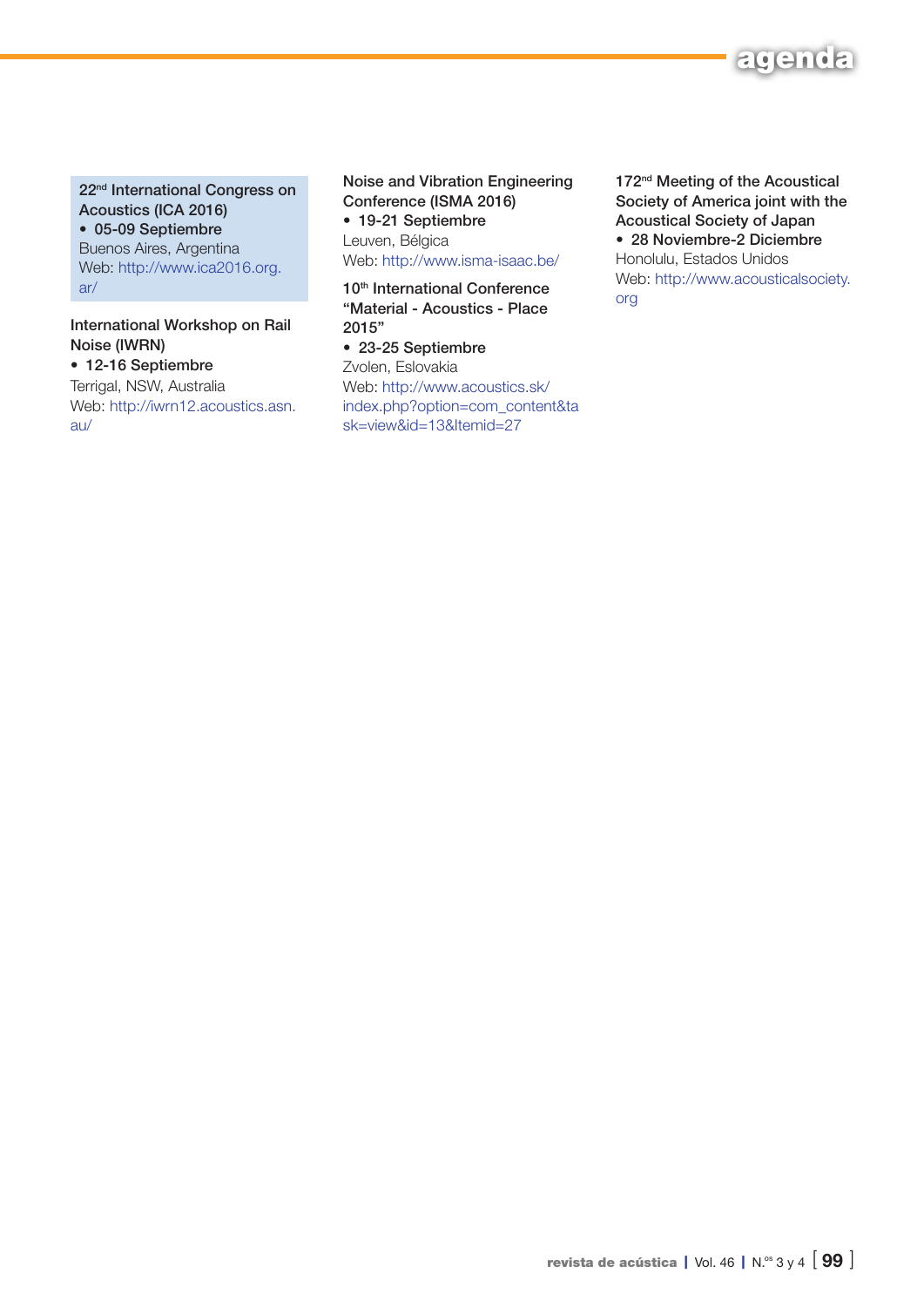

22<sup>nd</sup> International Congress on Acoustics (ICA 2016) • 05-09 Septiembre Buenos Aires, Argentina Web: [http://www.ica2016.org.](http://www.ica2016.org.ar/) [ar/](http://www.ica2016.org.ar/)

International Workshop on Rail Noise (IWRN)

• 12-16 Septiembre Terrigal, NSW, Australia Web: [http://iwrn12.acoustics.asn.](http://iwrn12.acoustics.asn.au/) [au/](http://iwrn12.acoustics.asn.au/)

Noise and Vibration Engineering Conference (ISMA 2016) • 19-21 Septiembre Leuven, Bélgica

Web:<http://www.isma-isaac.be/>

10<sup>th</sup> International Conference "Material - Acoustics - Place 2015"

• 23-25 Septiembre Zvolen, Eslovakia Web: [http://www.acoustics.sk/](http://www.acoustics.sk/index.php%3Foption%3Dcom_content%26task%3Dview%26id%3D13%26Itemid%3D27) [index.php?option=com\\_content&ta](http://www.acoustics.sk/index.php%3Foption%3Dcom_content%26task%3Dview%26id%3D13%26Itemid%3D27) [sk=view&id=13&Itemid=27](http://www.acoustics.sk/index.php%3Foption%3Dcom_content%26task%3Dview%26id%3D13%26Itemid%3D27)

172<sup>nd</sup> Meeting of the Acoustical Society of America joint with the Acoustical Society of Japan • 28 Noviembre-2 Diciembre Honolulu, Estados Unidos Web: [http://www.acousticalsociety.](http://www.acousticalsociety.org) [org](http://www.acousticalsociety.org)